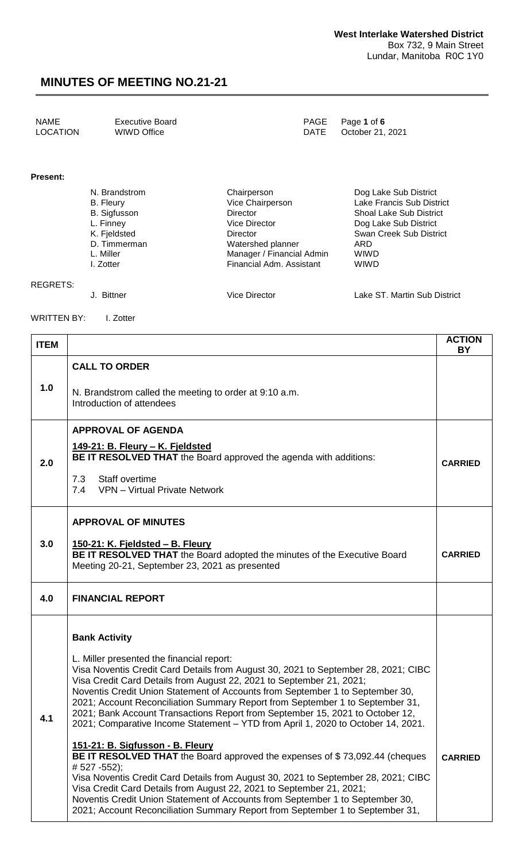| NAME     | Executive Board | PAGE Page 1 of 6      |
|----------|-----------------|-----------------------|
| LOCATION | WIWD Office     | DATE October 21, 2021 |

#### **Present:**

| N. Brandstrom       | Chairperson               | Dog Lake Sub District          |
|---------------------|---------------------------|--------------------------------|
| <b>B.</b> Fleury    | Vice Chairperson          | Lake Francis Sub District      |
| <b>B.</b> Sigfusson | Director                  | <b>Shoal Lake Sub District</b> |
| L. Finney           | Vice Director             | Dog Lake Sub District          |
| K. Fjeldsted        | Director                  | Swan Creek Sub District        |
| D. Timmerman        | Watershed planner         | ARD                            |
| L. Miller           | Manager / Financial Admin | <b>WIWD</b>                    |
| I. Zotter           | Financial Adm. Assistant  | <b>WIWD</b>                    |
|                     |                           |                                |
|                     |                           |                                |

REGRETS:

J. Bittner Vice Director Lake ST. Martin Sub District

WRITTEN BY: I. Zotter

| <b>ITEM</b> |                                                                                                                                                                                                                                                                                                                                                                                                                                                                                                                                                                                                                                                                                                                                                                                                                                                                                                                                                                                                                                          | <b>ACTION</b><br><b>BY</b> |
|-------------|------------------------------------------------------------------------------------------------------------------------------------------------------------------------------------------------------------------------------------------------------------------------------------------------------------------------------------------------------------------------------------------------------------------------------------------------------------------------------------------------------------------------------------------------------------------------------------------------------------------------------------------------------------------------------------------------------------------------------------------------------------------------------------------------------------------------------------------------------------------------------------------------------------------------------------------------------------------------------------------------------------------------------------------|----------------------------|
| 1.0         | <b>CALL TO ORDER</b><br>N. Brandstrom called the meeting to order at 9:10 a.m.<br>Introduction of attendees                                                                                                                                                                                                                                                                                                                                                                                                                                                                                                                                                                                                                                                                                                                                                                                                                                                                                                                              |                            |
| 2.0         | <b>APPROVAL OF AGENDA</b><br>149-21: B. Fleury - K. Fjeldsted<br><b>BE IT RESOLVED THAT</b> the Board approved the agenda with additions:<br>Staff overtime<br>7.3<br>7.4<br>VPN - Virtual Private Network                                                                                                                                                                                                                                                                                                                                                                                                                                                                                                                                                                                                                                                                                                                                                                                                                               | <b>CARRIED</b>             |
| 3.0         | <b>APPROVAL OF MINUTES</b><br>150-21: K. Fjeldsted - B. Fleury<br>BE IT RESOLVED THAT the Board adopted the minutes of the Executive Board<br>Meeting 20-21, September 23, 2021 as presented                                                                                                                                                                                                                                                                                                                                                                                                                                                                                                                                                                                                                                                                                                                                                                                                                                             | <b>CARRIED</b>             |
| 4.0         | <b>FINANCIAL REPORT</b>                                                                                                                                                                                                                                                                                                                                                                                                                                                                                                                                                                                                                                                                                                                                                                                                                                                                                                                                                                                                                  |                            |
| 4.1         | <b>Bank Activity</b><br>L. Miller presented the financial report:<br>Visa Noventis Credit Card Details from August 30, 2021 to September 28, 2021; CIBC<br>Visa Credit Card Details from August 22, 2021 to September 21, 2021;<br>Noventis Credit Union Statement of Accounts from September 1 to September 30,<br>2021; Account Reconciliation Summary Report from September 1 to September 31,<br>2021; Bank Account Transactions Report from September 15, 2021 to October 12,<br>2021; Comparative Income Statement – YTD from April 1, 2020 to October 14, 2021.<br>151-21: B. Sigfusson - B. Fleury<br>BE IT RESOLVED THAT the Board approved the expenses of \$73,092.44 (cheques<br>#527 -552);<br>Visa Noventis Credit Card Details from August 30, 2021 to September 28, 2021; CIBC<br>Visa Credit Card Details from August 22, 2021 to September 21, 2021;<br>Noventis Credit Union Statement of Accounts from September 1 to September 30,<br>2021; Account Reconciliation Summary Report from September 1 to September 31, | <b>CARRIED</b>             |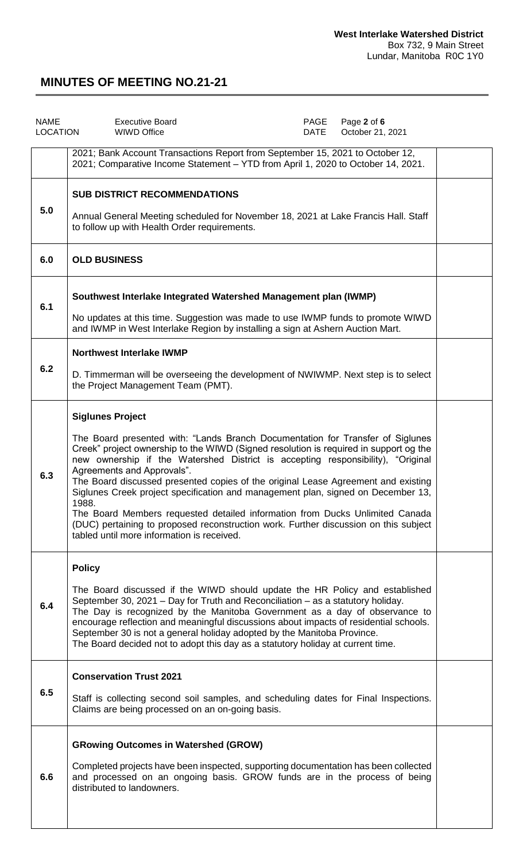| <b>NAME</b><br><b>LOCATION</b> | <b>Executive Board</b><br><b>WIWD Office</b>                                                                                                                                                                                                                                                                                                                                                                                                                                                                                                                                                                                                                                                                                | PAGE<br>DATE | Page 2 of 6<br>October 21, 2021 |  |
|--------------------------------|-----------------------------------------------------------------------------------------------------------------------------------------------------------------------------------------------------------------------------------------------------------------------------------------------------------------------------------------------------------------------------------------------------------------------------------------------------------------------------------------------------------------------------------------------------------------------------------------------------------------------------------------------------------------------------------------------------------------------------|--------------|---------------------------------|--|
|                                | 2021; Bank Account Transactions Report from September 15, 2021 to October 12,<br>2021; Comparative Income Statement - YTD from April 1, 2020 to October 14, 2021.                                                                                                                                                                                                                                                                                                                                                                                                                                                                                                                                                           |              |                                 |  |
| 5.0                            | <b>SUB DISTRICT RECOMMENDATIONS</b><br>Annual General Meeting scheduled for November 18, 2021 at Lake Francis Hall. Staff<br>to follow up with Health Order requirements.                                                                                                                                                                                                                                                                                                                                                                                                                                                                                                                                                   |              |                                 |  |
| 6.0                            | <b>OLD BUSINESS</b>                                                                                                                                                                                                                                                                                                                                                                                                                                                                                                                                                                                                                                                                                                         |              |                                 |  |
| 6.1                            | Southwest Interlake Integrated Watershed Management plan (IWMP)<br>No updates at this time. Suggestion was made to use IWMP funds to promote WIWD<br>and IWMP in West Interlake Region by installing a sign at Ashern Auction Mart.                                                                                                                                                                                                                                                                                                                                                                                                                                                                                         |              |                                 |  |
|                                | <b>Northwest Interlake IWMP</b>                                                                                                                                                                                                                                                                                                                                                                                                                                                                                                                                                                                                                                                                                             |              |                                 |  |
| 6.2                            | D. Timmerman will be overseeing the development of NWIWMP. Next step is to select<br>the Project Management Team (PMT).                                                                                                                                                                                                                                                                                                                                                                                                                                                                                                                                                                                                     |              |                                 |  |
| 6.3                            | <b>Siglunes Project</b><br>The Board presented with: "Lands Branch Documentation for Transfer of Siglunes<br>Creek" project ownership to the WIWD (Signed resolution is required in support og the<br>new ownership if the Watershed District is accepting responsibility), "Original<br>Agreements and Approvals".<br>The Board discussed presented copies of the original Lease Agreement and existing<br>Siglunes Creek project specification and management plan, signed on December 13,<br>1988.<br>The Board Members requested detailed information from Ducks Unlimited Canada<br>(DUC) pertaining to proposed reconstruction work. Further discussion on this subject<br>tabled until more information is received. |              |                                 |  |
| 6.4                            | <b>Policy</b><br>The Board discussed if the WIWD should update the HR Policy and established<br>September 30, 2021 – Day for Truth and Reconciliation – as a statutory holiday.<br>The Day is recognized by the Manitoba Government as a day of observance to<br>encourage reflection and meaningful discussions about impacts of residential schools.<br>September 30 is not a general holiday adopted by the Manitoba Province.<br>The Board decided not to adopt this day as a statutory holiday at current time.                                                                                                                                                                                                        |              |                                 |  |
| 6.5                            | <b>Conservation Trust 2021</b><br>Staff is collecting second soil samples, and scheduling dates for Final Inspections.<br>Claims are being processed on an on-going basis.                                                                                                                                                                                                                                                                                                                                                                                                                                                                                                                                                  |              |                                 |  |
| 6.6                            | <b>GRowing Outcomes in Watershed (GROW)</b><br>Completed projects have been inspected, supporting documentation has been collected<br>and processed on an ongoing basis. GROW funds are in the process of being<br>distributed to landowners.                                                                                                                                                                                                                                                                                                                                                                                                                                                                               |              |                                 |  |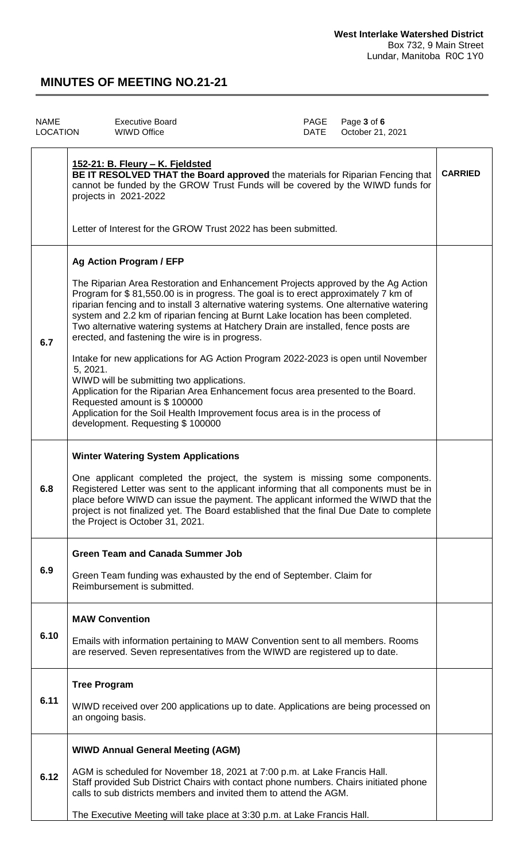| <b>NAME</b><br><b>LOCATION</b> | <b>Executive Board</b><br><b>WIWD Office</b>                                                                                                                                                                                                                                                                                                                                                                                                                                                                                                                                                                                                                                                                                                                                                                                                                                                                    | PAGE<br>DATE | Page 3 of 6<br>October 21, 2021 |                |
|--------------------------------|-----------------------------------------------------------------------------------------------------------------------------------------------------------------------------------------------------------------------------------------------------------------------------------------------------------------------------------------------------------------------------------------------------------------------------------------------------------------------------------------------------------------------------------------------------------------------------------------------------------------------------------------------------------------------------------------------------------------------------------------------------------------------------------------------------------------------------------------------------------------------------------------------------------------|--------------|---------------------------------|----------------|
|                                | 152-21: B. Fleury - K. Fjeldsted<br>BE IT RESOLVED THAT the Board approved the materials for Riparian Fencing that<br>cannot be funded by the GROW Trust Funds will be covered by the WIWD funds for<br>projects in 2021-2022<br>Letter of Interest for the GROW Trust 2022 has been submitted.                                                                                                                                                                                                                                                                                                                                                                                                                                                                                                                                                                                                                 |              |                                 | <b>CARRIED</b> |
| 6.7                            | Ag Action Program / EFP<br>The Riparian Area Restoration and Enhancement Projects approved by the Ag Action<br>Program for \$81,550.00 is in progress. The goal is to erect approximately 7 km of<br>riparian fencing and to install 3 alternative watering systems. One alternative watering<br>system and 2.2 km of riparian fencing at Burnt Lake location has been completed.<br>Two alternative watering systems at Hatchery Drain are installed, fence posts are<br>erected, and fastening the wire is in progress.<br>Intake for new applications for AG Action Program 2022-2023 is open until November<br>5, 2021.<br>WIWD will be submitting two applications.<br>Application for the Riparian Area Enhancement focus area presented to the Board.<br>Requested amount is \$100000<br>Application for the Soil Health Improvement focus area is in the process of<br>development. Requesting \$100000 |              |                                 |                |
| 6.8                            | <b>Winter Watering System Applications</b><br>One applicant completed the project, the system is missing some components.<br>Registered Letter was sent to the applicant informing that all components must be in<br>place before WIWD can issue the payment. The applicant informed the WIWD that the<br>project is not finalized yet. The Board established that the final Due Date to complete<br>the Project is October 31, 2021.                                                                                                                                                                                                                                                                                                                                                                                                                                                                           |              |                                 |                |
| 6.9                            | <b>Green Team and Canada Summer Job</b><br>Green Team funding was exhausted by the end of September. Claim for<br>Reimbursement is submitted.                                                                                                                                                                                                                                                                                                                                                                                                                                                                                                                                                                                                                                                                                                                                                                   |              |                                 |                |
| 6.10                           | <b>MAW Convention</b><br>Emails with information pertaining to MAW Convention sent to all members. Rooms<br>are reserved. Seven representatives from the WIWD are registered up to date.                                                                                                                                                                                                                                                                                                                                                                                                                                                                                                                                                                                                                                                                                                                        |              |                                 |                |
| 6.11                           | <b>Tree Program</b><br>WIWD received over 200 applications up to date. Applications are being processed on<br>an ongoing basis.                                                                                                                                                                                                                                                                                                                                                                                                                                                                                                                                                                                                                                                                                                                                                                                 |              |                                 |                |
| 6.12                           | <b>WIWD Annual General Meeting (AGM)</b><br>AGM is scheduled for November 18, 2021 at 7:00 p.m. at Lake Francis Hall.<br>Staff provided Sub District Chairs with contact phone numbers. Chairs initiated phone<br>calls to sub districts members and invited them to attend the AGM.<br>The Executive Meeting will take place at 3:30 p.m. at Lake Francis Hall.                                                                                                                                                                                                                                                                                                                                                                                                                                                                                                                                                |              |                                 |                |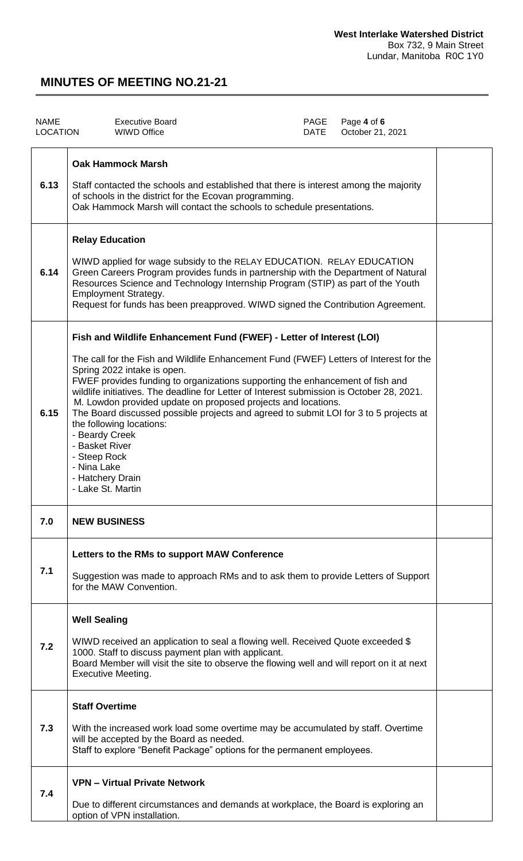| <b>NAME</b><br><b>LOCATION</b> | <b>Executive Board</b><br><b>WIWD Office</b>                                                                                                                                                                                                                                                                                                                                                                                                                                                                                                                                                                                                                                  | PAGE<br><b>DATE</b> | Page 4 of 6<br>October 21, 2021 |  |
|--------------------------------|-------------------------------------------------------------------------------------------------------------------------------------------------------------------------------------------------------------------------------------------------------------------------------------------------------------------------------------------------------------------------------------------------------------------------------------------------------------------------------------------------------------------------------------------------------------------------------------------------------------------------------------------------------------------------------|---------------------|---------------------------------|--|
| 6.13                           | <b>Oak Hammock Marsh</b><br>Staff contacted the schools and established that there is interest among the majority<br>of schools in the district for the Ecovan programming.<br>Oak Hammock Marsh will contact the schools to schedule presentations.                                                                                                                                                                                                                                                                                                                                                                                                                          |                     |                                 |  |
| 6.14                           | <b>Relay Education</b><br>WIWD applied for wage subsidy to the RELAY EDUCATION. RELAY EDUCATION<br>Green Careers Program provides funds in partnership with the Department of Natural<br>Resources Science and Technology Internship Program (STIP) as part of the Youth<br><b>Employment Strategy.</b><br>Request for funds has been preapproved. WIWD signed the Contribution Agreement.                                                                                                                                                                                                                                                                                    |                     |                                 |  |
| 6.15                           | Fish and Wildlife Enhancement Fund (FWEF) - Letter of Interest (LOI)<br>The call for the Fish and Wildlife Enhancement Fund (FWEF) Letters of Interest for the<br>Spring 2022 intake is open.<br>FWEF provides funding to organizations supporting the enhancement of fish and<br>wildlife initiatives. The deadline for Letter of Interest submission is October 28, 2021.<br>M. Lowdon provided update on proposed projects and locations.<br>The Board discussed possible projects and agreed to submit LOI for 3 to 5 projects at<br>the following locations:<br>- Beardy Creek<br>- Basket River<br>- Steep Rock<br>- Nina Lake<br>- Hatchery Drain<br>- Lake St. Martin |                     |                                 |  |
| 7.0                            | <b>NEW BUSINESS</b>                                                                                                                                                                                                                                                                                                                                                                                                                                                                                                                                                                                                                                                           |                     |                                 |  |
| 7.1                            | Letters to the RMs to support MAW Conference<br>Suggestion was made to approach RMs and to ask them to provide Letters of Support<br>for the MAW Convention.                                                                                                                                                                                                                                                                                                                                                                                                                                                                                                                  |                     |                                 |  |
| 7.2                            | <b>Well Sealing</b><br>WIWD received an application to seal a flowing well. Received Quote exceeded \$<br>1000. Staff to discuss payment plan with applicant.<br>Board Member will visit the site to observe the flowing well and will report on it at next<br><b>Executive Meeting.</b>                                                                                                                                                                                                                                                                                                                                                                                      |                     |                                 |  |
| 7.3                            | <b>Staff Overtime</b><br>With the increased work load some overtime may be accumulated by staff. Overtime<br>will be accepted by the Board as needed.<br>Staff to explore "Benefit Package" options for the permanent employees.                                                                                                                                                                                                                                                                                                                                                                                                                                              |                     |                                 |  |
| 7.4                            | <b>VPN - Virtual Private Network</b><br>Due to different circumstances and demands at workplace, the Board is exploring an<br>option of VPN installation.                                                                                                                                                                                                                                                                                                                                                                                                                                                                                                                     |                     |                                 |  |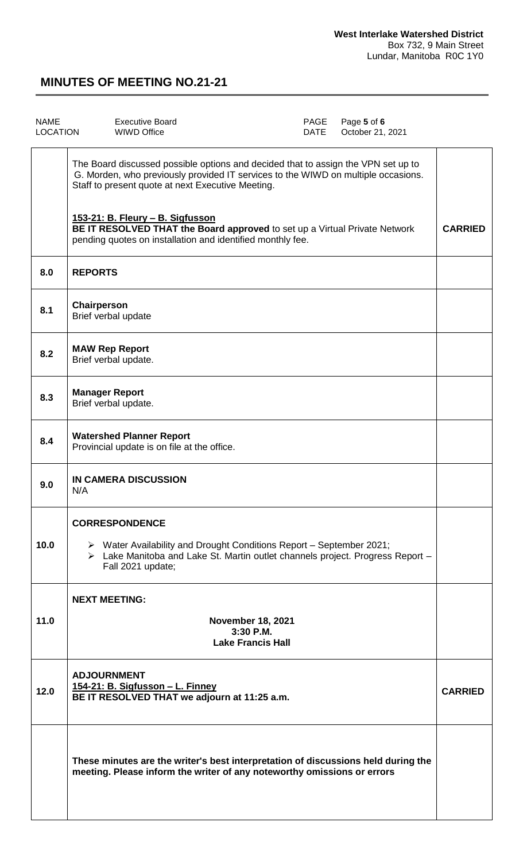| <b>NAME</b><br><b>LOCATION</b> | PAGE<br>Page 5 of 6<br><b>Executive Board</b><br>October 21, 2021<br><b>WIWD Office</b><br>DATE                                                                                                                                    |                |
|--------------------------------|------------------------------------------------------------------------------------------------------------------------------------------------------------------------------------------------------------------------------------|----------------|
|                                | The Board discussed possible options and decided that to assign the VPN set up to<br>G. Morden, who previously provided IT services to the WIWD on multiple occasions.<br>Staff to present quote at next Executive Meeting.        |                |
|                                | 153-21: B. Fleury - B. Sigfusson<br>BE IT RESOLVED THAT the Board approved to set up a Virtual Private Network<br>pending quotes on installation and identified monthly fee.                                                       | <b>CARRIED</b> |
| 8.0                            | <b>REPORTS</b>                                                                                                                                                                                                                     |                |
| 8.1                            | Chairperson<br>Brief verbal update                                                                                                                                                                                                 |                |
| 8.2                            | <b>MAW Rep Report</b><br>Brief verbal update.                                                                                                                                                                                      |                |
| 8.3                            | <b>Manager Report</b><br>Brief verbal update.                                                                                                                                                                                      |                |
| 8.4                            | <b>Watershed Planner Report</b><br>Provincial update is on file at the office.                                                                                                                                                     |                |
| 9.0                            | <b>IN CAMERA DISCUSSION</b><br>N/A                                                                                                                                                                                                 |                |
| 10.0                           | <b>CORRESPONDENCE</b><br>$\triangleright$ Water Availability and Drought Conditions Report – September 2021;<br>$\triangleright$ Lake Manitoba and Lake St. Martin outlet channels project. Progress Report -<br>Fall 2021 update; |                |
|                                | <b>NEXT MEETING:</b>                                                                                                                                                                                                               |                |
| 11.0                           | <b>November 18, 2021</b><br>3:30 P.M.<br><b>Lake Francis Hall</b>                                                                                                                                                                  |                |
| 12.0                           | <b>ADJOURNMENT</b><br>154-21: B. Sigfusson - L. Finney<br>BE IT RESOLVED THAT we adjourn at 11:25 a.m.                                                                                                                             | <b>CARRIED</b> |
|                                | These minutes are the writer's best interpretation of discussions held during the<br>meeting. Please inform the writer of any noteworthy omissions or errors                                                                       |                |